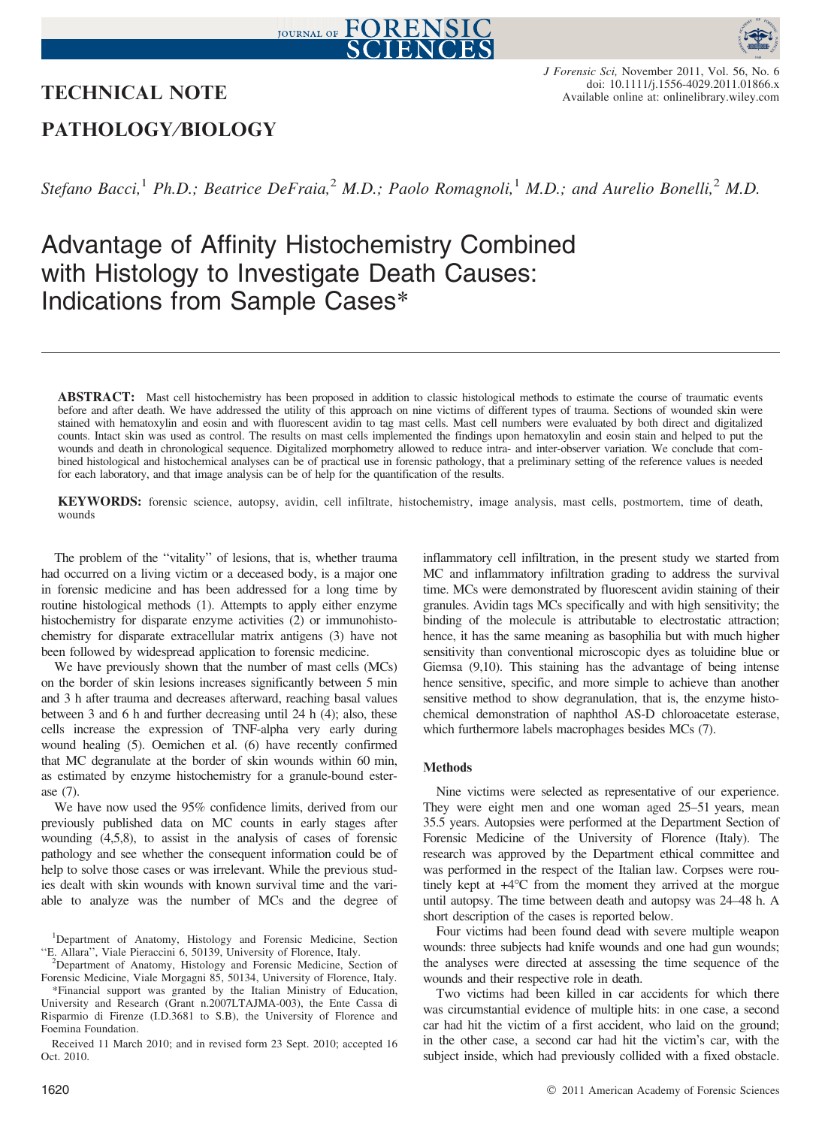



# TECHNICAL NOTE

J Forensic Sci, November 2011, Vol. 56, No. 6 doi: 10.1111/j.1556-4029.2011.01866.x Available online at: onlinelibrary.wiley.com

# PATHOLOGY⁄BIOLOGY

Stefano Bacci,<sup>1</sup> Ph.D.; Beatrice DeFraia,<sup>2</sup> M.D.; Paolo Romagnoli,<sup>1</sup> M.D.; and Aurelio Bonelli,<sup>2</sup> M.D.

# Advantage of Affinity Histochemistry Combined with Histology to Investigate Death Causes: Indications from Sample Cases\*

ABSTRACT: Mast cell histochemistry has been proposed in addition to classic histological methods to estimate the course of traumatic events before and after death. We have addressed the utility of this approach on nine victims of different types of trauma. Sections of wounded skin were stained with hematoxylin and eosin and with fluorescent avidin to tag mast cells. Mast cell numbers were evaluated by both direct and digitalized counts. Intact skin was used as control. The results on mast cells implemented the findings upon hematoxylin and eosin stain and helped to put the wounds and death in chronological sequence. Digitalized morphometry allowed to reduce intra- and inter-observer variation. We conclude that combined histological and histochemical analyses can be of practical use in forensic pathology, that a preliminary setting of the reference values is needed for each laboratory, and that image analysis can be of help for the quantification of the results.

KEYWORDS: forensic science, autopsy, avidin, cell infiltrate, histochemistry, image analysis, mast cells, postmortem, time of death, wounds

The problem of the ''vitality'' of lesions, that is, whether trauma had occurred on a living victim or a deceased body, is a major one in forensic medicine and has been addressed for a long time by routine histological methods (1). Attempts to apply either enzyme histochemistry for disparate enzyme activities (2) or immunohistochemistry for disparate extracellular matrix antigens (3) have not been followed by widespread application to forensic medicine.

We have previously shown that the number of mast cells (MCs) on the border of skin lesions increases significantly between 5 min and 3 h after trauma and decreases afterward, reaching basal values between 3 and 6 h and further decreasing until 24 h (4); also, these cells increase the expression of TNF-alpha very early during wound healing (5). Oemichen et al. (6) have recently confirmed that MC degranulate at the border of skin wounds within 60 min, as estimated by enzyme histochemistry for a granule-bound esterase (7).

We have now used the 95% confidence limits, derived from our previously published data on MC counts in early stages after wounding (4,5,8), to assist in the analysis of cases of forensic pathology and see whether the consequent information could be of help to solve those cases or was irrelevant. While the previous studies dealt with skin wounds with known survival time and the variable to analyze was the number of MCs and the degree of

<sup>1</sup>Department of Anatomy, Histology and Forensic Medicine, Section ''E. Allara'', Viale Pieraccini 6, 50139, University of Florence, Italy. <sup>2</sup>

<sup>2</sup>Department of Anatomy, Histology and Forensic Medicine, Section of Forensic Medicine, Viale Morgagni 85, 50134, University of Florence, Italy.

\*Financial support was granted by the Italian Ministry of Education, University and Research (Grant n.2007LTAJMA-003), the Ente Cassa di Risparmio di Firenze (I.D.3681 to S.B), the University of Florence and Foemina Foundation.

Received 11 March 2010; and in revised form 23 Sept. 2010; accepted 16 Oct. 2010.

inflammatory cell infiltration, in the present study we started from MC and inflammatory infiltration grading to address the survival time. MCs were demonstrated by fluorescent avidin staining of their granules. Avidin tags MCs specifically and with high sensitivity; the binding of the molecule is attributable to electrostatic attraction; hence, it has the same meaning as basophilia but with much higher sensitivity than conventional microscopic dyes as toluidine blue or Giemsa (9,10). This staining has the advantage of being intense hence sensitive, specific, and more simple to achieve than another sensitive method to show degranulation, that is, the enzyme histochemical demonstration of naphthol AS-D chloroacetate esterase, which furthermore labels macrophages besides MCs (7).

# **Methods**

Nine victims were selected as representative of our experience. They were eight men and one woman aged 25–51 years, mean 35.5 years. Autopsies were performed at the Department Section of Forensic Medicine of the University of Florence (Italy). The research was approved by the Department ethical committee and was performed in the respect of the Italian law. Corpses were routinely kept at  $+4^{\circ}$ C from the moment they arrived at the morgue until autopsy. The time between death and autopsy was 24–48 h. A short description of the cases is reported below.

Four victims had been found dead with severe multiple weapon wounds: three subjects had knife wounds and one had gun wounds; the analyses were directed at assessing the time sequence of the wounds and their respective role in death.

Two victims had been killed in car accidents for which there was circumstantial evidence of multiple hits: in one case, a second car had hit the victim of a first accident, who laid on the ground; in the other case, a second car had hit the victim's car, with the subject inside, which had previously collided with a fixed obstacle.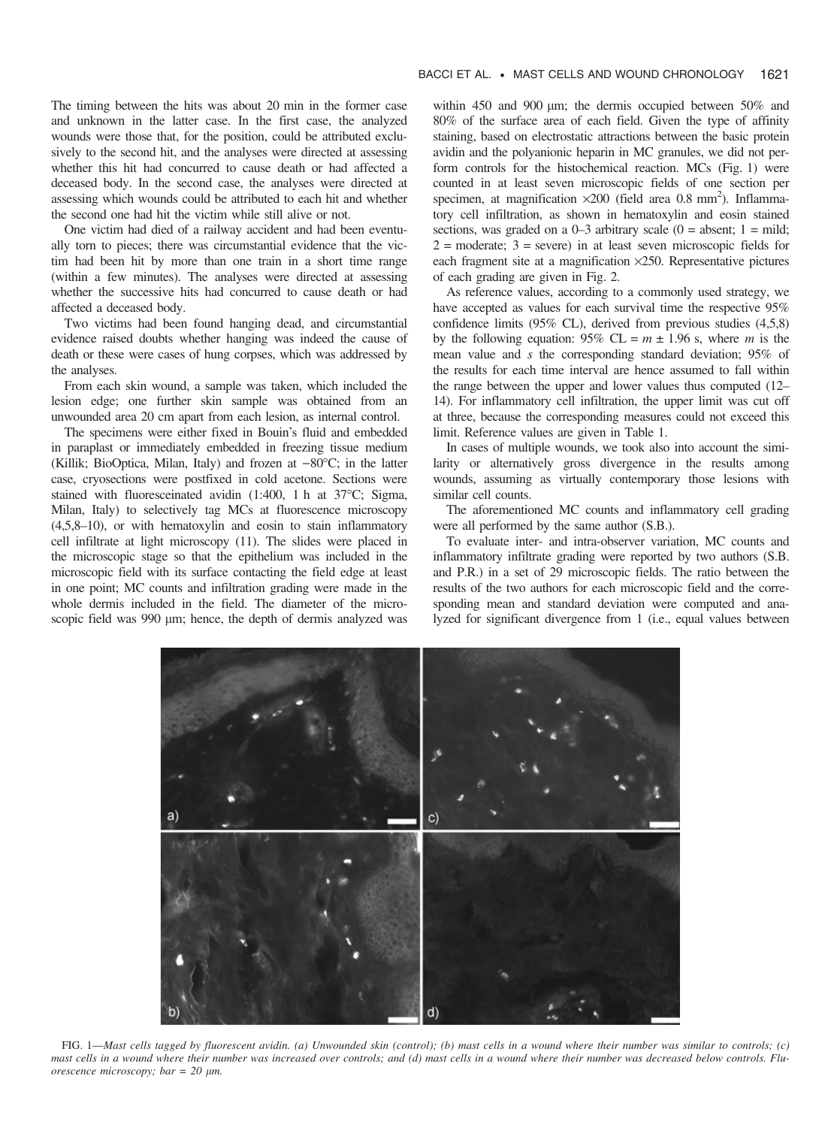and unknown in the latter case. In the first case, the analyzed wounds were those that, for the position, could be attributed exclusively to the second hit, and the analyses were directed at assessing whether this hit had concurred to cause death or had affected a deceased body. In the second case, the analyses were directed at assessing which wounds could be attributed to each hit and whether the second one had hit the victim while still alive or not.

One victim had died of a railway accident and had been eventually torn to pieces; there was circumstantial evidence that the victim had been hit by more than one train in a short time range (within a few minutes). The analyses were directed at assessing whether the successive hits had concurred to cause death or had affected a deceased body.

Two victims had been found hanging dead, and circumstantial evidence raised doubts whether hanging was indeed the cause of death or these were cases of hung corpses, which was addressed by the analyses.

From each skin wound, a sample was taken, which included the lesion edge; one further skin sample was obtained from an unwounded area 20 cm apart from each lesion, as internal control.

The specimens were either fixed in Bouin's fluid and embedded in paraplast or immediately embedded in freezing tissue medium (Killik; BioOptica, Milan, Italy) and frozen at  $-80^{\circ}$ C; in the latter case, cryosections were postfixed in cold acetone. Sections were stained with fluoresceinated avidin (1:400, 1 h at 37°C; Sigma, Milan, Italy) to selectively tag MCs at fluorescence microscopy (4,5,8–10), or with hematoxylin and eosin to stain inflammatory cell infiltrate at light microscopy (11). The slides were placed in the microscopic stage so that the epithelium was included in the microscopic field with its surface contacting the field edge at least in one point; MC counts and infiltration grading were made in the whole dermis included in the field. The diameter of the microscopic field was  $990 \mu m$ ; hence, the depth of dermis analyzed was

within 450 and 900 µm; the dermis occupied between 50% and 80% of the surface area of each field. Given the type of affinity staining, based on electrostatic attractions between the basic protein avidin and the polyanionic heparin in MC granules, we did not perform controls for the histochemical reaction. MCs (Fig. 1) were counted in at least seven microscopic fields of one section per specimen, at magnification ×200 (field area 0.8 mm<sup>2</sup>). Inflammatory cell infiltration, as shown in hematoxylin and eosin stained sections, was graded on a  $0-3$  arbitrary scale  $(0 =$  absent;  $1 =$  mild;  $2 =$  moderate;  $3 =$  severe) in at least seven microscopic fields for each fragment site at a magnification  $\times$ 250. Representative pictures of each grading are given in Fig. 2.

BACCI ET AL. • MAST CELLS AND WOUND CHRONOLOGY 1621

As reference values, according to a commonly used strategy, we have accepted as values for each survival time the respective 95% confidence limits (95% CL), derived from previous studies (4,5,8) by the following equation: 95% CL =  $m \pm 1.96$  s, where m is the mean value and s the corresponding standard deviation; 95% of the results for each time interval are hence assumed to fall within the range between the upper and lower values thus computed (12– 14). For inflammatory cell infiltration, the upper limit was cut off at three, because the corresponding measures could not exceed this limit. Reference values are given in Table 1.

In cases of multiple wounds, we took also into account the similarity or alternatively gross divergence in the results among wounds, assuming as virtually contemporary those lesions with similar cell counts.

The aforementioned MC counts and inflammatory cell grading were all performed by the same author (S.B.).

To evaluate inter- and intra-observer variation, MC counts and inflammatory infiltrate grading were reported by two authors (S.B. and P.R.) in a set of 29 microscopic fields. The ratio between the results of the two authors for each microscopic field and the corresponding mean and standard deviation were computed and analyzed for significant divergence from 1 (i.e., equal values between



FIG. 1—Mast cells tagged by fluorescent avidin. (a) Unwounded skin (control); (b) mast cells in a wound where their number was similar to controls; (c) mast cells in a wound where their number was increased over controls; and (d) mast cells in a wound where their number was decreased below controls. Fluorescence microscopy; bar =  $20 \mu m$ .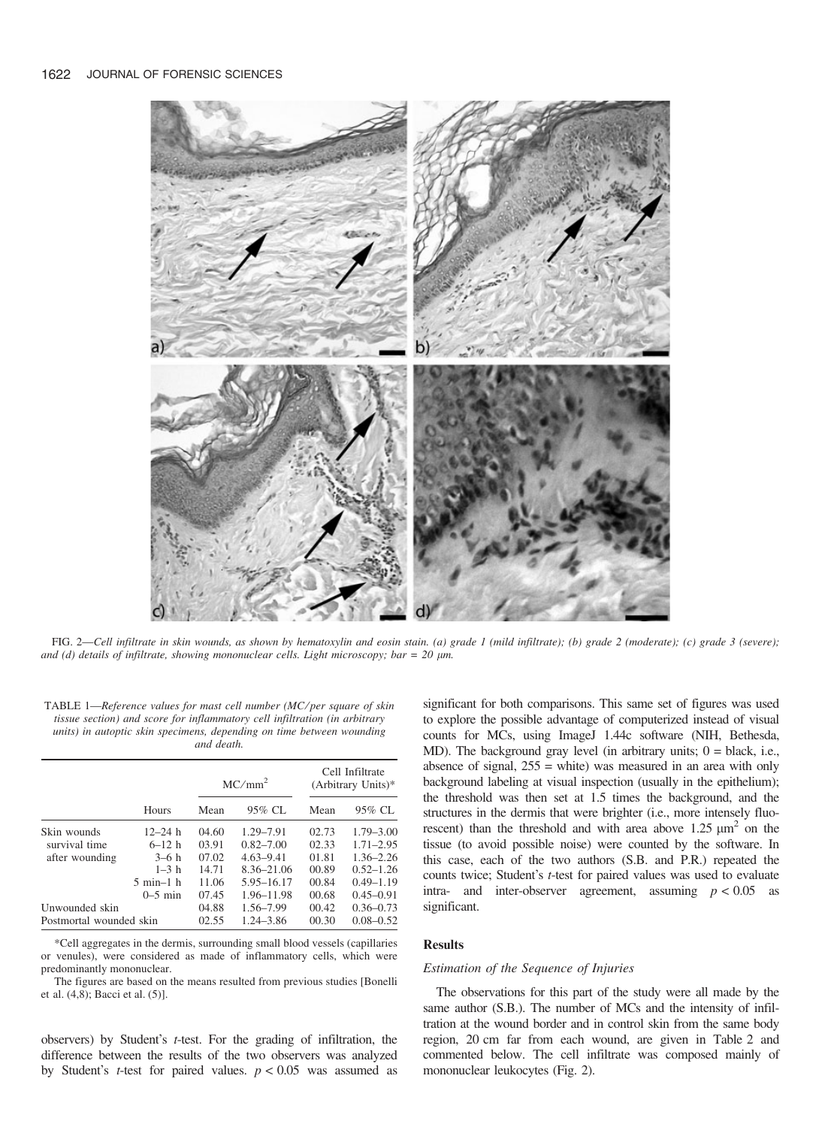

FIG. 2—Cell infiltrate in skin wounds, as shown by hematoxylin and eosin stain. (a) grade 1 (mild infiltrate); (b) grade 2 (moderate); (c) grade 3 (severe); and (d) details of infiltrate, showing mononuclear cells. Light microscopy; bar = 20  $\mu$ m.

TABLE 1—Reference values for mast cell number (MC/per square of skin tissue section) and score for inflammatory cell infiltration (in arbitrary units) in autoptic skin specimens, depending on time between wounding and death.

|                              |                               | $MC/mm^2$ |               | Cell Infiltrate<br>(Arbitrary Units)* |               |
|------------------------------|-------------------------------|-----------|---------------|---------------------------------------|---------------|
|                              | Hours                         | Mean      | 95% CL        | Mean                                  | $95\%$ CL     |
| Skin wounds<br>survival time | $12 - 24 h$                   | 04.60     | 1.29-7.91     | 02.73                                 | $1.79 - 3.00$ |
|                              | $6 - 12 h$                    | 03.91     | $0.82 - 7.00$ | 02.33                                 | $1.71 - 2.95$ |
| after wounding               | $3-6h$                        | 07.02     | $4.63 - 9.41$ | 01.81                                 | $1.36 - 2.26$ |
|                              | $1 - 3 h$                     | 14.71     | 8.36-21.06    | 00.89                                 | $0.52 - 1.26$ |
|                              | $5 \text{ min} - 1 \text{ h}$ | 11.06     | 5.95-16.17    | 00.84                                 | $0.49 - 1.19$ |
|                              | $0-5$ min                     | 07.45     | 1.96-11.98    | 00.68                                 | $0.45 - 0.91$ |
| Unwounded skin               |                               | 04.88     | 1.56-7.99     | 00.42                                 | $0.36 - 0.73$ |
| Postmortal wounded skin      |                               | 02.55     | $1.24 - 3.86$ | 00.30                                 | $0.08 - 0.52$ |

\*Cell aggregates in the dermis, surrounding small blood vessels (capillaries or venules), were considered as made of inflammatory cells, which were predominantly mononuclear.

The figures are based on the means resulted from previous studies [Bonelli et al. (4,8); Bacci et al. (5)].

observers) by Student's t-test. For the grading of infiltration, the difference between the results of the two observers was analyzed by Student's *t*-test for paired values.  $p < 0.05$  was assumed as significant for both comparisons. This same set of figures was used to explore the possible advantage of computerized instead of visual counts for MCs, using ImageJ 1.44c software (NIH, Bethesda, MD). The background gray level (in arbitrary units;  $0 =$  black, i.e., absence of signal,  $255 =$  white) was measured in an area with only background labeling at visual inspection (usually in the epithelium); the threshold was then set at 1.5 times the background, and the structures in the dermis that were brighter (i.e., more intensely fluorescent) than the threshold and with area above  $1.25 \mu m^2$  on the tissue (to avoid possible noise) were counted by the software. In this case, each of the two authors (S.B. and P.R.) repeated the counts twice; Student's t-test for paired values was used to evaluate intra- and inter-observer agreement, assuming  $p < 0.05$  as significant.

## **Results**

#### Estimation of the Sequence of Injuries

The observations for this part of the study were all made by the same author (S.B.). The number of MCs and the intensity of infiltration at the wound border and in control skin from the same body region, 20 cm far from each wound, are given in Table 2 and commented below. The cell infiltrate was composed mainly of mononuclear leukocytes (Fig. 2).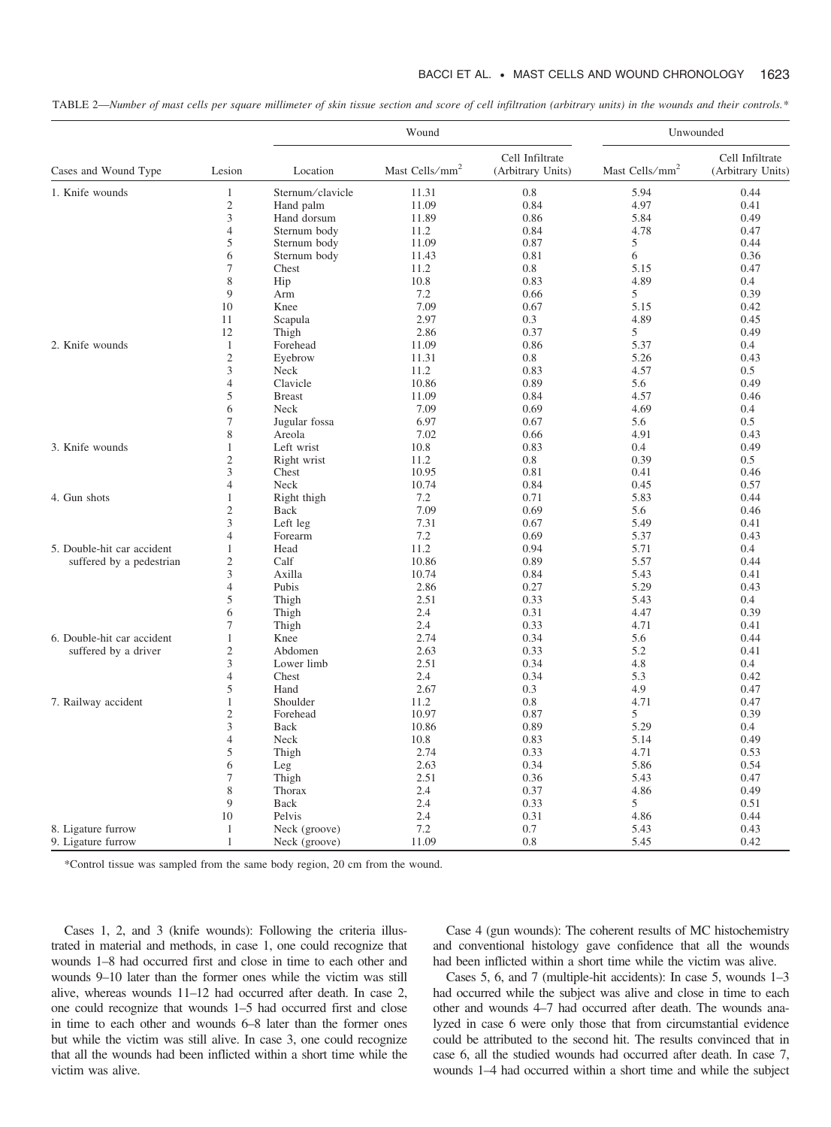#### BACCI ET AL. • MAST CELLS AND WOUND CHRONOLOGY 1623

TABLE 2—Number of mast cells per square millimeter of skin tissue section and score of cell infiltration (arbitrary units) in the wounds and their controls.\*

|                            |                          | Wound            |                            |                                      | Unwounded                  |                                      |
|----------------------------|--------------------------|------------------|----------------------------|--------------------------------------|----------------------------|--------------------------------------|
| Cases and Wound Type       | Lesion                   | Location         | Mast Cells/mm <sup>2</sup> | Cell Infiltrate<br>(Arbitrary Units) | Mast Cells/mm <sup>2</sup> | Cell Infiltrate<br>(Arbitrary Units) |
| 1. Knife wounds            | 1                        | Sternum/clavicle | 11.31                      | 0.8                                  | 5.94                       | 0.44                                 |
|                            | $\overline{c}$           | Hand palm        | 11.09                      | 0.84                                 | 4.97                       | 0.41                                 |
|                            | $\overline{\mathbf{3}}$  | Hand dorsum      | 11.89                      | 0.86                                 | 5.84                       | 0.49                                 |
|                            | $\overline{4}$           | Sternum body     | 11.2                       | 0.84                                 | 4.78                       | 0.47                                 |
|                            | 5                        | Sternum body     | 11.09                      | 0.87                                 | 5                          | 0.44                                 |
|                            | 6                        | Sternum body     | 11.43                      | 0.81                                 | 6                          | 0.36                                 |
|                            | 7                        | Chest            | 11.2                       | 0.8                                  | 5.15                       | 0.47                                 |
|                            | 8                        | Hip              | 10.8                       | 0.83                                 | 4.89                       | 0.4                                  |
|                            | 9                        | Arm              | 7.2                        | 0.66                                 | 5                          | 0.39                                 |
|                            | 10                       | Knee             | 7.09                       | 0.67                                 | 5.15                       | 0.42                                 |
|                            | 11                       | Scapula          | 2.97                       | 0.3                                  | 4.89                       | 0.45                                 |
|                            | 12                       | Thigh            | 2.86                       | 0.37                                 | 5                          | 0.49                                 |
| 2. Knife wounds            | $\mathbf{1}$             | Forehead         | 11.09                      | 0.86                                 | 5.37                       | 0.4                                  |
|                            | $\overline{c}$           | Eyebrow          | 11.31                      | 0.8                                  | 5.26                       | 0.43                                 |
|                            | 3                        | Neck             | 11.2                       | 0.83                                 | 4.57                       | 0.5                                  |
|                            | $\overline{4}$           | Clavicle         | 10.86                      | 0.89                                 | 5.6                        | 0.49                                 |
|                            | 5                        | <b>Breast</b>    | 11.09                      | 0.84                                 | 4.57                       | 0.46                                 |
|                            | 6                        | Neck             | 7.09                       | 0.69                                 | 4.69                       | 0.4                                  |
|                            | $\tau$                   | Jugular fossa    | 6.97                       | 0.67                                 | 5.6                        | 0.5                                  |
|                            | 8                        | Areola           | 7.02                       | 0.66                                 | 4.91                       | 0.43                                 |
| 3. Knife wounds            | $\mathbf{1}$             | Left wrist       | 10.8                       | 0.83                                 | 0.4                        | 0.49                                 |
|                            | $\overline{c}$           | Right wrist      | 11.2                       | 0.8                                  | 0.39                       | 0.5                                  |
|                            | 3                        | Chest            | 10.95                      | 0.81                                 | 0.41                       | 0.46                                 |
|                            | $\overline{4}$           | Neck             | 10.74                      | 0.84                                 | 0.45                       | 0.57                                 |
| 4. Gun shots               | $\mathbf{1}$             | Right thigh      | 7.2                        | 0.71                                 | 5.83                       | 0.44                                 |
|                            | $\overline{c}$           | Back             | 7.09                       | 0.69                                 | 5.6                        | 0.46                                 |
|                            | 3                        | Left leg         | 7.31                       | 0.67                                 | 5.49                       | 0.41                                 |
|                            | $\overline{4}$           | Forearm          | 7.2                        | 0.69                                 | 5.37                       | 0.43                                 |
| 5. Double-hit car accident | $\mathbf{1}$             | Head             | 11.2                       | 0.94                                 | 5.71                       | 0.4                                  |
| suffered by a pedestrian   | $\overline{c}$           | Calf             | 10.86                      | 0.89                                 | 5.57                       | 0.44                                 |
|                            | $\mathfrak{Z}$           | Axilla           | 10.74                      | 0.84                                 | 5.43                       | 0.41                                 |
|                            | $\overline{4}$           | Pubis            | 2.86                       | 0.27                                 | 5.29                       | 0.43                                 |
|                            | 5                        | Thigh            | 2.51                       | 0.33                                 | 5.43                       | 0.4                                  |
|                            | 6                        | Thigh            | 2.4                        | 0.31                                 | 4.47                       | 0.39                                 |
|                            | 7                        | Thigh            | 2.4                        | 0.33                                 | 4.71                       | 0.41                                 |
| 6. Double-hit car accident | $\,1\,$                  | Knee             | 2.74                       | 0.34                                 | 5.6                        | 0.44                                 |
| suffered by a driver       | $\overline{c}$           | Abdomen          | 2.63                       | 0.33                                 | 5.2                        | 0.41                                 |
|                            | 3                        | Lower limb       | 2.51                       | 0.34                                 | 4.8                        | 0.4                                  |
|                            | $\overline{4}$           | Chest            | 2.4                        | 0.34                                 | 5.3                        | 0.42                                 |
|                            | 5                        | Hand             | 2.67                       | 0.3                                  | 4.9                        | 0.47                                 |
| 7. Railway accident        | $\mathbf{1}$             | Shoulder         | 11.2                       | 0.8                                  | 4.71                       | 0.47                                 |
|                            | $\overline{c}$           | Forehead         | 10.97                      | 0.87                                 | 5                          | 0.39                                 |
|                            | 3                        | Back             | 10.86                      | 0.89                                 | 5.29                       | 0.4                                  |
|                            | $\overline{4}$           | Neck             | 10.8                       | 0.83                                 | 5.14                       | 0.49                                 |
|                            | 5                        | Thigh            | 2.74                       | 0.33                                 | 4.71                       | 0.53                                 |
|                            | 6                        | Leg              | 2.63                       | 0.34                                 | 5.86                       | 0.54                                 |
|                            | $\overline{\mathcal{I}}$ | Thigh            | 2.51                       | 0.36                                 | 5.43                       | 0.47                                 |
|                            | 8                        | Thorax           | 2.4                        | 0.37                                 | 4.86                       | 0.49                                 |
|                            | 9                        | Back             | 2.4                        | 0.33                                 | 5                          | 0.51                                 |
|                            | 10                       | Pelvis           | 2.4                        | 0.31                                 | 4.86                       | 0.44                                 |
| 8. Ligature furrow         | 1                        | Neck (groove)    | 7.2                        | 0.7                                  | 5.43                       | 0.43                                 |
| 9. Ligature furrow         | $\mathbf{1}$             | Neck (groove)    | 11.09                      | 0.8                                  | 5.45                       | 0.42                                 |

\*Control tissue was sampled from the same body region, 20 cm from the wound.

Cases 1, 2, and 3 (knife wounds): Following the criteria illustrated in material and methods, in case 1, one could recognize that wounds 1–8 had occurred first and close in time to each other and wounds 9–10 later than the former ones while the victim was still alive, whereas wounds 11–12 had occurred after death. In case 2, one could recognize that wounds 1–5 had occurred first and close in time to each other and wounds 6–8 later than the former ones but while the victim was still alive. In case 3, one could recognize that all the wounds had been inflicted within a short time while the victim was alive.

Case 4 (gun wounds): The coherent results of MC histochemistry and conventional histology gave confidence that all the wounds had been inflicted within a short time while the victim was alive.

Cases 5, 6, and 7 (multiple-hit accidents): In case 5, wounds 1–3 had occurred while the subject was alive and close in time to each other and wounds 4–7 had occurred after death. The wounds analyzed in case 6 were only those that from circumstantial evidence could be attributed to the second hit. The results convinced that in case 6, all the studied wounds had occurred after death. In case 7, wounds 1–4 had occurred within a short time and while the subject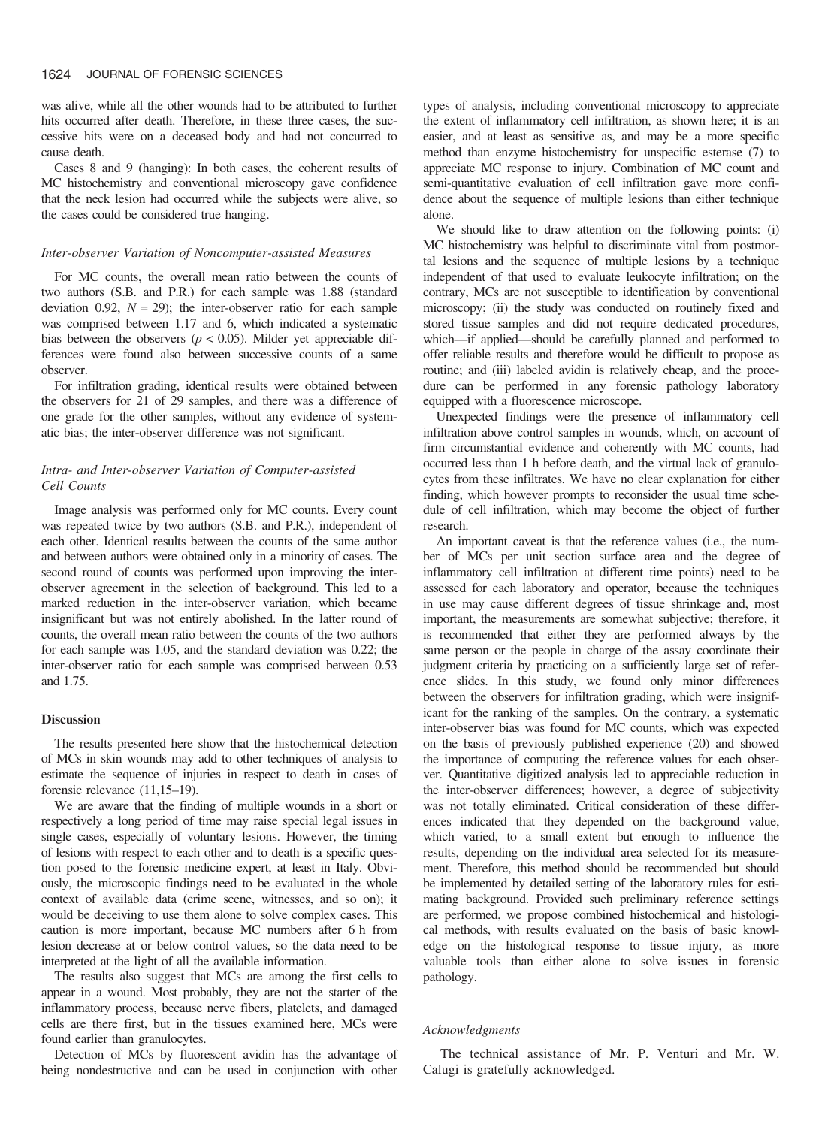was alive, while all the other wounds had to be attributed to further hits occurred after death. Therefore, in these three cases, the successive hits were on a deceased body and had not concurred to cause death.

Cases 8 and 9 (hanging): In both cases, the coherent results of MC histochemistry and conventional microscopy gave confidence that the neck lesion had occurred while the subjects were alive, so the cases could be considered true hanging.

#### Inter-observer Variation of Noncomputer-assisted Measures

For MC counts, the overall mean ratio between the counts of two authors (S.B. and P.R.) for each sample was 1.88 (standard deviation 0.92,  $N = 29$ ; the inter-observer ratio for each sample was comprised between 1.17 and 6, which indicated a systematic bias between the observers ( $p < 0.05$ ). Milder yet appreciable differences were found also between successive counts of a same observer.

For infiltration grading, identical results were obtained between the observers for 21 of 29 samples, and there was a difference of one grade for the other samples, without any evidence of systematic bias; the inter-observer difference was not significant.

# Intra- and Inter-observer Variation of Computer-assisted Cell Counts

Image analysis was performed only for MC counts. Every count was repeated twice by two authors (S.B. and P.R.), independent of each other. Identical results between the counts of the same author and between authors were obtained only in a minority of cases. The second round of counts was performed upon improving the interobserver agreement in the selection of background. This led to a marked reduction in the inter-observer variation, which became insignificant but was not entirely abolished. In the latter round of counts, the overall mean ratio between the counts of the two authors for each sample was 1.05, and the standard deviation was 0.22; the inter-observer ratio for each sample was comprised between 0.53 and 1.75.

## Discussion

The results presented here show that the histochemical detection of MCs in skin wounds may add to other techniques of analysis to estimate the sequence of injuries in respect to death in cases of forensic relevance (11,15–19).

We are aware that the finding of multiple wounds in a short or respectively a long period of time may raise special legal issues in single cases, especially of voluntary lesions. However, the timing of lesions with respect to each other and to death is a specific question posed to the forensic medicine expert, at least in Italy. Obviously, the microscopic findings need to be evaluated in the whole context of available data (crime scene, witnesses, and so on); it would be deceiving to use them alone to solve complex cases. This caution is more important, because MC numbers after 6 h from lesion decrease at or below control values, so the data need to be interpreted at the light of all the available information.

The results also suggest that MCs are among the first cells to appear in a wound. Most probably, they are not the starter of the inflammatory process, because nerve fibers, platelets, and damaged cells are there first, but in the tissues examined here, MCs were found earlier than granulocytes.

Detection of MCs by fluorescent avidin has the advantage of being nondestructive and can be used in conjunction with other types of analysis, including conventional microscopy to appreciate the extent of inflammatory cell infiltration, as shown here; it is an easier, and at least as sensitive as, and may be a more specific method than enzyme histochemistry for unspecific esterase (7) to appreciate MC response to injury. Combination of MC count and semi-quantitative evaluation of cell infiltration gave more confidence about the sequence of multiple lesions than either technique alone.

We should like to draw attention on the following points: (i) MC histochemistry was helpful to discriminate vital from postmortal lesions and the sequence of multiple lesions by a technique independent of that used to evaluate leukocyte infiltration; on the contrary, MCs are not susceptible to identification by conventional microscopy; (ii) the study was conducted on routinely fixed and stored tissue samples and did not require dedicated procedures, which—if applied—should be carefully planned and performed to offer reliable results and therefore would be difficult to propose as routine; and (iii) labeled avidin is relatively cheap, and the procedure can be performed in any forensic pathology laboratory equipped with a fluorescence microscope.

Unexpected findings were the presence of inflammatory cell infiltration above control samples in wounds, which, on account of firm circumstantial evidence and coherently with MC counts, had occurred less than 1 h before death, and the virtual lack of granulocytes from these infiltrates. We have no clear explanation for either finding, which however prompts to reconsider the usual time schedule of cell infiltration, which may become the object of further research.

An important caveat is that the reference values (i.e., the number of MCs per unit section surface area and the degree of inflammatory cell infiltration at different time points) need to be assessed for each laboratory and operator, because the techniques in use may cause different degrees of tissue shrinkage and, most important, the measurements are somewhat subjective; therefore, it is recommended that either they are performed always by the same person or the people in charge of the assay coordinate their judgment criteria by practicing on a sufficiently large set of reference slides. In this study, we found only minor differences between the observers for infiltration grading, which were insignificant for the ranking of the samples. On the contrary, a systematic inter-observer bias was found for MC counts, which was expected on the basis of previously published experience (20) and showed the importance of computing the reference values for each observer. Quantitative digitized analysis led to appreciable reduction in the inter-observer differences; however, a degree of subjectivity was not totally eliminated. Critical consideration of these differences indicated that they depended on the background value, which varied, to a small extent but enough to influence the results, depending on the individual area selected for its measurement. Therefore, this method should be recommended but should be implemented by detailed setting of the laboratory rules for estimating background. Provided such preliminary reference settings are performed, we propose combined histochemical and histological methods, with results evaluated on the basis of basic knowledge on the histological response to tissue injury, as more valuable tools than either alone to solve issues in forensic pathology.

## Acknowledgments

The technical assistance of Mr. P. Venturi and Mr. W. Calugi is gratefully acknowledged.